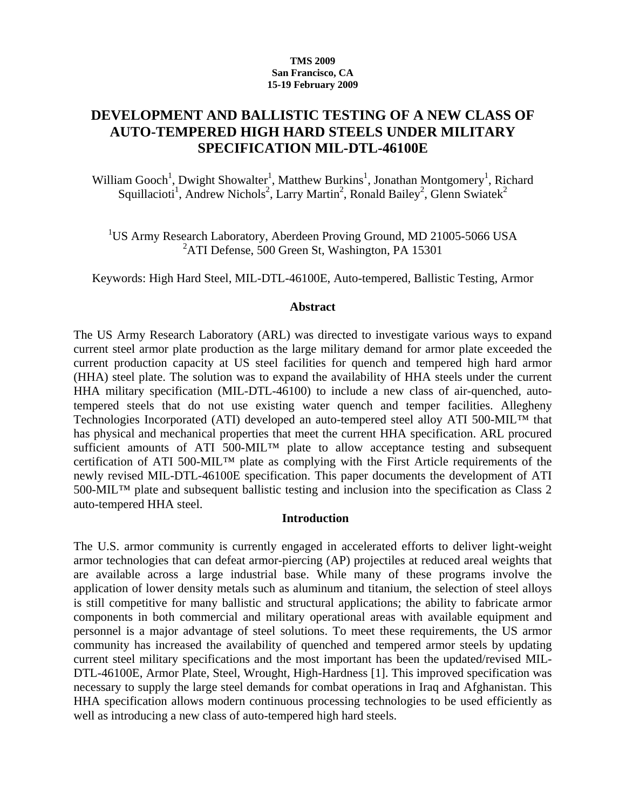#### **TMS 2009 San Francisco, CA 15-19 February 2009**

# **DEVELOPMENT AND BALLISTIC TESTING OF A NEW CLASS OF AUTO-TEMPERED HIGH HARD STEELS UNDER MILITARY SPECIFICATION MIL-DTL-46100E**

William Gooch<sup>1</sup>, Dwight Showalter<sup>1</sup>, Matthew Burkins<sup>1</sup>, Jonathan Montgomery<sup>1</sup>, Richard Squillacioti<sup>1</sup>, Andrew Nichols<sup>2</sup>, Larry Martin<sup>2</sup>, Ronald Bailey<sup>2</sup>, Glenn Swiatek<sup>2</sup>

<sup>1</sup>US Army Research Laboratory, Aberdeen Proving Ground, MD 21005-5066 USA <sup>2</sup>ATI Defense, 500 Green St, Washington, PA 15301

Keywords: High Hard Steel, MIL-DTL-46100E, Auto-tempered, Ballistic Testing, Armor

#### **Abstract**

The US Army Research Laboratory (ARL) was directed to investigate various ways to expand current steel armor plate production as the large military demand for armor plate exceeded the current production capacity at US steel facilities for quench and tempered high hard armor (HHA) steel plate. The solution was to expand the availability of HHA steels under the current HHA military specification (MIL-DTL-46100) to include a new class of air-quenched, autotempered steels that do not use existing water quench and temper facilities. Allegheny Technologies Incorporated (ATI) developed an auto-tempered steel alloy ATI 500-MIL™ that has physical and mechanical properties that meet the current HHA specification. ARL procured sufficient amounts of ATI 500-MIL<sup>TM</sup> plate to allow acceptance testing and subsequent certification of ATI 500-MIL™ plate as complying with the First Article requirements of the newly revised MIL-DTL-46100E specification. This paper documents the development of ATI 500-MIL™ plate and subsequent ballistic testing and inclusion into the specification as Class 2 auto-tempered HHA steel.

## **Introduction**

The U.S. armor community is currently engaged in accelerated efforts to deliver light-weight armor technologies that can defeat armor-piercing (AP) projectiles at reduced areal weights that are available across a large industrial base. While many of these programs involve the application of lower density metals such as aluminum and titanium, the selection of steel alloys is still competitive for many ballistic and structural applications; the ability to fabricate armor components in both commercial and military operational areas with available equipment and personnel is a major advantage of steel solutions. To meet these requirements, the US armor community has increased the availability of quenched and tempered armor steels by updating current steel military specifications and the most important has been the updated/revised MIL-DTL-46100E, Armor Plate, Steel, Wrought, High-Hardness [1]. This improved specification was necessary to supply the large steel demands for combat operations in Iraq and Afghanistan. This HHA specification allows modern continuous processing technologies to be used efficiently as well as introducing a new class of auto-tempered high hard steels.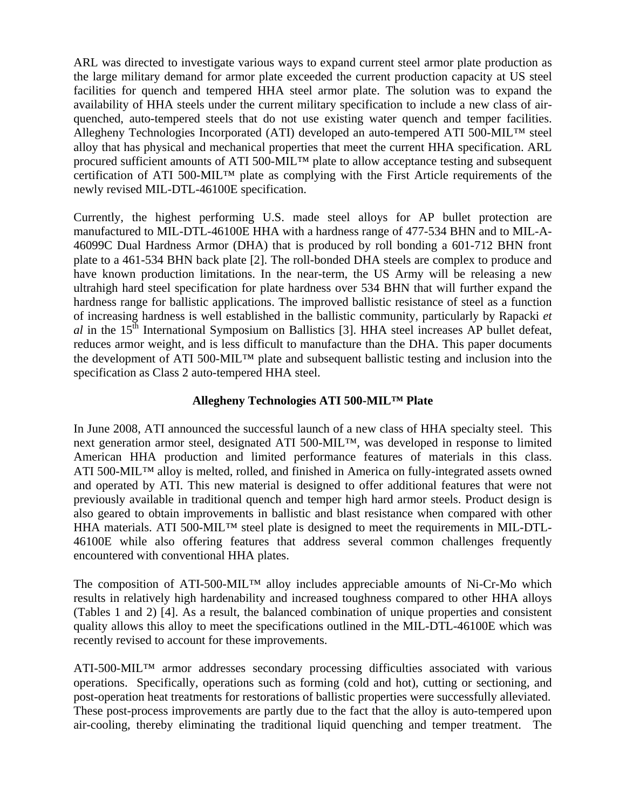ARL was directed to investigate various ways to expand current steel armor plate production as the large military demand for armor plate exceeded the current production capacity at US steel facilities for quench and tempered HHA steel armor plate. The solution was to expand the availability of HHA steels under the current military specification to include a new class of airquenched, auto-tempered steels that do not use existing water quench and temper facilities. Allegheny Technologies Incorporated (ATI) developed an auto-tempered ATI 500-MIL™ steel alloy that has physical and mechanical properties that meet the current HHA specification. ARL procured sufficient amounts of ATI 500-MIL™ plate to allow acceptance testing and subsequent certification of ATI 500-MIL™ plate as complying with the First Article requirements of the newly revised MIL-DTL-46100E specification.

Currently, the highest performing U.S. made steel alloys for AP bullet protection are manufactured to MIL-DTL-46100E HHA with a hardness range of 477-534 BHN and to MIL-A-46099C Dual Hardness Armor (DHA) that is produced by roll bonding a 601-712 BHN front plate to a 461-534 BHN back plate [2]. The roll-bonded DHA steels are complex to produce and have known production limitations. In the near-term, the US Army will be releasing a new ultrahigh hard steel specification for plate hardness over 534 BHN that will further expand the hardness range for ballistic applications. The improved ballistic resistance of steel as a function of increasing hardness is well established in the ballistic community, particularly by Rapacki *et al* in the 15<sup>th</sup> International Symposium on Ballistics [3]. HHA steel increases AP bullet defeat, reduces armor weight, and is less difficult to manufacture than the DHA. This paper documents the development of ATI 500-MIL™ plate and subsequent ballistic testing and inclusion into the specification as Class 2 auto-tempered HHA steel.

## **Allegheny Technologies ATI 500-MIL™ Plate**

In June 2008, ATI announced the successful launch of a new class of HHA specialty steel. This next generation armor steel, designated ATI 500-MIL™, was developed in response to limited American HHA production and limited performance features of materials in this class. ATI 500-MIL™ alloy is melted, rolled, and finished in America on fully-integrated assets owned and operated by ATI. This new material is designed to offer additional features that were not previously available in traditional quench and temper high hard armor steels. Product design is also geared to obtain improvements in ballistic and blast resistance when compared with other HHA materials. ATI 500-MIL<sup>TM</sup> steel plate is designed to meet the requirements in MIL-DTL-46100E while also offering features that address several common challenges frequently encountered with conventional HHA plates.

The composition of ATI-500-MIL™ alloy includes appreciable amounts of Ni-Cr-Mo which results in relatively high hardenability and increased toughness compared to other HHA alloys (Tables 1 and 2) [4]. As a result, the balanced combination of unique properties and consistent quality allows this alloy to meet the specifications outlined in the MIL-DTL-46100E which was recently revised to account for these improvements.

ATI-500-MIL™ armor addresses secondary processing difficulties associated with various operations. Specifically, operations such as forming (cold and hot), cutting or sectioning, and post-operation heat treatments for restorations of ballistic properties were successfully alleviated. These post-process improvements are partly due to the fact that the alloy is auto-tempered upon air-cooling, thereby eliminating the traditional liquid quenching and temper treatment. The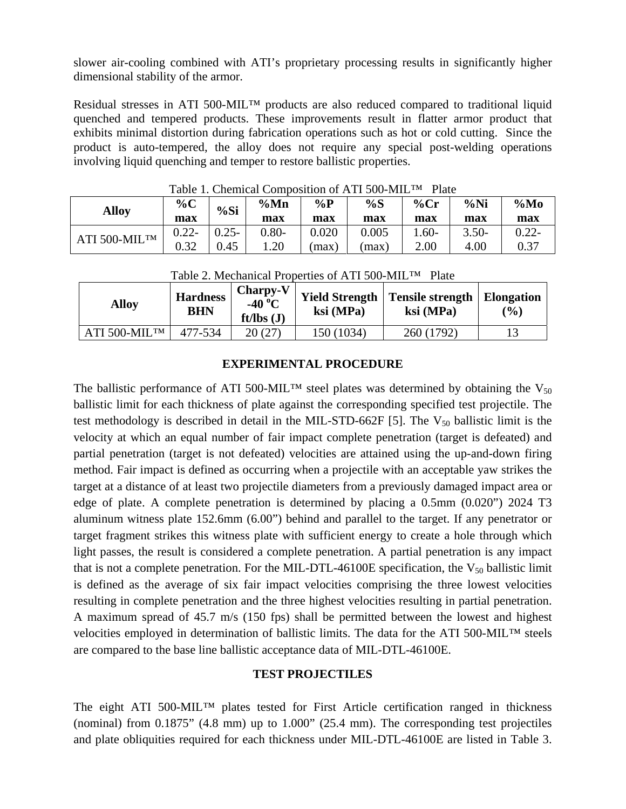slower air-cooling combined with ATI's proprietary processing results in significantly higher dimensional stability of the armor.

Residual stresses in ATI 500-MIL™ products are also reduced compared to traditional liquid quenched and tempered products. These improvements result in flatter armor product that exhibits minimal distortion during fabrication operations such as hot or cold cutting. Since the product is auto-tempered, the alloy does not require any special post-welding operations involving liquid quenching and temper to restore ballistic properties.

| <b>Alloy</b>  | $\%C$<br>max | %Si      | $\%Mn$<br>max | $\%P$<br>max | %S<br>max | $%$ Cr<br>max | %Ni<br>max | $\%Mo$<br>max |
|---------------|--------------|----------|---------------|--------------|-----------|---------------|------------|---------------|
| ATI 500-MILTM | $0.22 -$     | $0.25 -$ | $0.80 -$      | 0.020        | 0.005     | $.60-$        | $3.50-$    | $0.22 -$      |
|               | 0.32         | 0.45     | 1.20          | max          | (max      | 2.00          | 4.00       | 0.37          |

Table 1. Chemical Composition of ATI 500-MIL™ Plate

| <b>Alloy</b>  | <b>Hardness</b><br><b>BHN</b> | Charpy-V<br>-40 $^{\circ}$ C<br>$ft/lbs$ (J) | <b>Yield Strength</b><br>ksi (MPa) | <b>Tensile strength</b><br>ksi (MPa) | <b>Elongation</b><br>$\frac{1}{2}$ |
|---------------|-------------------------------|----------------------------------------------|------------------------------------|--------------------------------------|------------------------------------|
| ATI 500-MILTM | 477-534                       | 20 (27)                                      | 150 (1034)                         | 260 (1792)                           |                                    |

Table 2. Mechanical Properties of ATI 500-MILTM Plate

## **EXPERIMENTAL PROCEDURE**

The ballistic performance of ATI 500-MIL<sup>™</sup> steel plates was determined by obtaining the V<sub>50</sub> ballistic limit for each thickness of plate against the corresponding specified test projectile. The test methodology is described in detail in the MIL-STD-662F [5]. The  $V_{50}$  ballistic limit is the velocity at which an equal number of fair impact complete penetration (target is defeated) and partial penetration (target is not defeated) velocities are attained using the up-and-down firing method. Fair impact is defined as occurring when a projectile with an acceptable yaw strikes the target at a distance of at least two projectile diameters from a previously damaged impact area or edge of plate. A complete penetration is determined by placing a 0.5mm (0.020") 2024 T3 aluminum witness plate 152.6mm (6.00") behind and parallel to the target. If any penetrator or target fragment strikes this witness plate with sufficient energy to create a hole through which light passes, the result is considered a complete penetration. A partial penetration is any impact that is not a complete penetration. For the MIL-DTL-46100E specification, the  $V_{50}$  ballistic limit is defined as the average of six fair impact velocities comprising the three lowest velocities resulting in complete penetration and the three highest velocities resulting in partial penetration. A maximum spread of 45.7 m/s (150 fps) shall be permitted between the lowest and highest velocities employed in determination of ballistic limits. The data for the ATI 500-MIL™ steels are compared to the base line ballistic acceptance data of MIL-DTL-46100E.

## **TEST PROJECTILES**

The eight ATI 500-MIL™ plates tested for First Article certification ranged in thickness (nominal) from 0.1875" (4.8 mm) up to 1.000" (25.4 mm). The corresponding test projectiles and plate obliquities required for each thickness under MIL-DTL-46100E are listed in Table 3.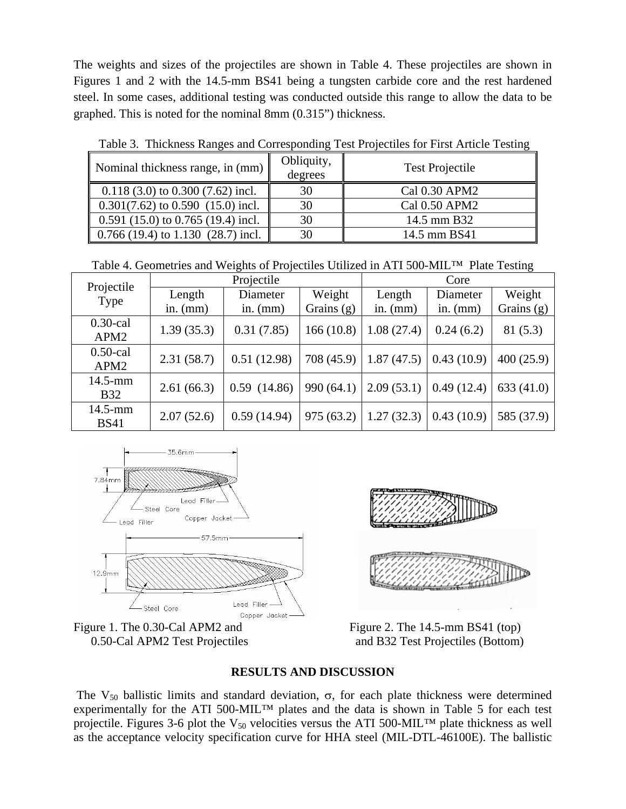The weights and sizes of the projectiles are shown in Table 4. These projectiles are shown in Figures 1 and 2 with the 14.5-mm BS41 being a tungsten carbide core and the rest hardened steel. In some cases, additional testing was conducted outside this range to allow the data to be graphed. This is noted for the nominal 8mm (0.315") thickness.

| Nominal thickness range, in (mm)     | Obliquity,<br>degrees | <b>Test Projectile</b> |
|--------------------------------------|-----------------------|------------------------|
| $0.118(3.0)$ to $0.300(7.62)$ incl.  | 30                    | Cal 0.30 APM2          |
| $0.301(7.62)$ to $0.590(15.0)$ incl. | 30                    | Cal 0.50 APM2          |
| $0.591(15.0)$ to $0.765(19.4)$ incl. | 30                    | 14.5 mm B32            |
| $0.766$ (19.4) to 1.130 (28.7) incl. | 30                    | 14.5 mm BS41           |

Table 3. Thickness Ranges and Corresponding Test Projectiles for First Article Testing

Table 4. Geometries and Weights of Projectiles Utilized in ATI 500-MIL™ Plate Testing

| Projectile<br>Type              |            | Projectile  | Core         |            |            |            |
|---------------------------------|------------|-------------|--------------|------------|------------|------------|
|                                 | Length     | Diameter    | Weight       | Length     | Diameter   | Weight     |
|                                 | in. $(mm)$ | in. $(mm)$  | Grains $(g)$ | in. $(mm)$ | in. $(mm)$ | Grains (g) |
| $0.30$ -cal<br>APM <sub>2</sub> | 1.39(35.3) | 0.31(7.85)  | 166(10.8)    | 1.08(27.4) | 0.24(6.2)  | 81(5.3)    |
| $0.50$ -cal<br>APM <sub>2</sub> | 2.31(58.7) | 0.51(12.98) | 708 (45.9)   | 1.87(47.5) | 0.43(10.9) | 400(25.9)  |
| $14.5$ -mm<br><b>B32</b>        | 2.61(66.3) | 0.59(14.86) | 990(64.1)    | 2.09(53.1) | 0.49(12.4) | 633(41.0)  |
| 14.5-mm<br><b>BS41</b>          | 2.07(52.6) | 0.59(14.94) | 975(63.2)    | 1.27(32.3) | 0.43(10.9) | 585 (37.9) |







0.50-Cal APM2 Test Projectiles and B32 Test Projectiles (Bottom)

# **RESULTS AND DISCUSSION**

The V<sub>50</sub> ballistic limits and standard deviation,  $\sigma$ , for each plate thickness were determined experimentally for the ATI 500-MIL<sup>TM</sup> plates and the data is shown in Table 5 for each test projectile. Figures 3-6 plot the  $V_{50}$  velocities versus the ATI 500-MIL<sup>TM</sup> plate thickness as well as the acceptance velocity specification curve for HHA steel (MIL-DTL-46100E). The ballistic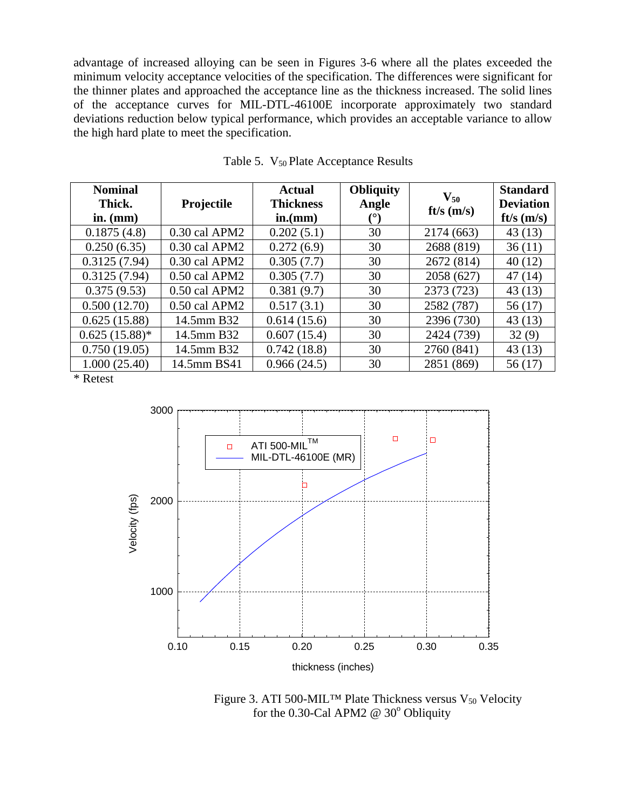advantage of increased alloying can be seen in Figures 3-6 where all the plates exceeded the minimum velocity acceptance velocities of the specification. The differences were significant for the thinner plates and approached the acceptance line as the thickness increased. The solid lines of the acceptance curves for MIL-DTL-46100E incorporate approximately two standard deviations reduction below typical performance, which provides an acceptable variance to allow the high hard plate to meet the specification.

| <b>Nominal</b><br>Thick.<br>in. $(mm)$ | Projectile      | <b>Actual</b><br><b>Thickness</b><br>in.(mm) | <b>Obliquity</b><br>Angle | $V_{50}$<br>ft/s $(m/s)$ | <b>Standard</b><br><b>Deviation</b><br>$ft/s$ (m/s) |
|----------------------------------------|-----------------|----------------------------------------------|---------------------------|--------------------------|-----------------------------------------------------|
| 0.1875(4.8)                            | 0.30 cal APM2   | 0.202(5.1)                                   | 30                        | 2174 (663)               | 43(13)                                              |
| 0.250(6.35)                            | $0.30$ cal APM2 | 0.272(6.9)                                   | 30                        | 2688 (819)               | 36(11)                                              |
| 0.3125(7.94)                           | $0.30$ cal APM2 | 0.305(7.7)                                   | 30                        | 2672 (814)               | 40(12)                                              |
| 0.3125(7.94)                           | 0.50 cal APM2   | 0.305(7.7)                                   | 30                        | 2058 (627)               | 47(14)                                              |
| 0.375(9.53)                            | 0.50 cal APM2   | 0.381(9.7)                                   | 30                        | 2373 (723)               | 43(13)                                              |
| 0.500(12.70)                           | 0.50 cal APM2   | 0.517(3.1)                                   | 30                        | 2582 (787)               | 56(17)                                              |
| 0.625(15.88)                           | 14.5mm B32      | 0.614(15.6)                                  | 30                        | 2396 (730)               | 43(13)                                              |
| $0.625(15.88)$ *                       | 14.5mm B32      | 0.607(15.4)                                  | 30                        | 2424 (739)               | 32(9)                                               |
| 0.750(19.05)                           | 14.5mm B32      | 0.742(18.8)                                  | 30                        | 2760 (841)               | 43(13)                                              |
| 1.000(25.40)                           | 14.5mm BS41     | 0.966(24.5)                                  | 30                        | 2851 (869)               | 56 (17)                                             |

Table 5. V<sub>50</sub> Plate Acceptance Results

\* Retest



Figure 3. ATI 500-MIL<sup>TM</sup> Plate Thickness versus  $V_{50}$  Velocity for the 0.30-Cal APM2  $\omega$  30<sup>°</sup> Obliquity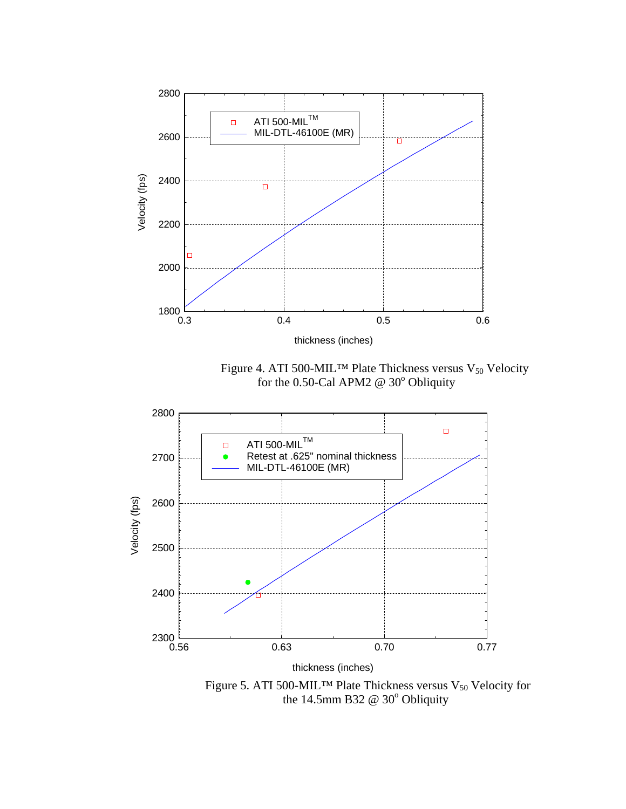

Figure 5. ATI 500-MIL<sup>TM</sup> Plate Thickness versus  $V_{50}$  Velocity for the 14.5mm B32  $\omega$  30 $\degree$  Obliquity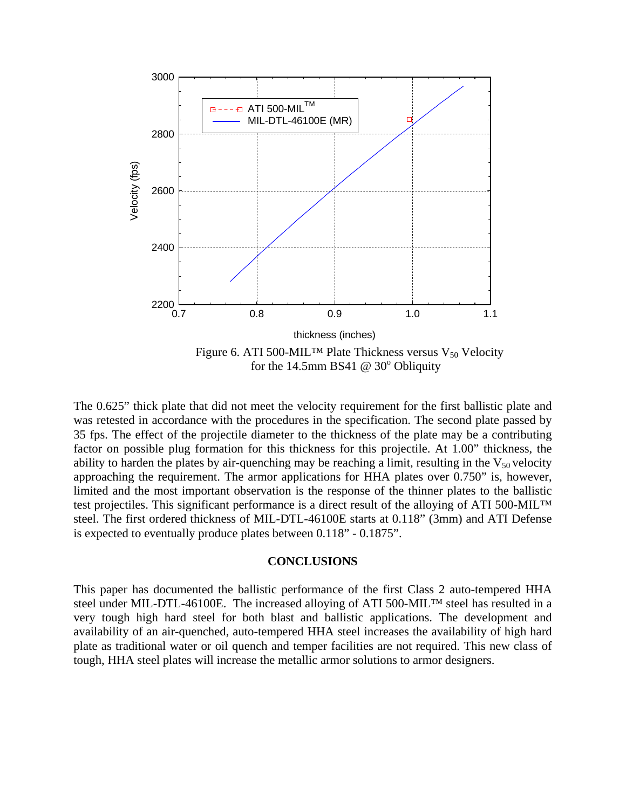

The 0.625" thick plate that did not meet the velocity requirement for the first ballistic plate and was retested in accordance with the procedures in the specification. The second plate passed by 35 fps. The effect of the projectile diameter to the thickness of the plate may be a contributing factor on possible plug formation for this thickness for this projectile. At 1.00" thickness, the ability to harden the plates by air-quenching may be reaching a limit, resulting in the  $V_{50}$  velocity approaching the requirement. The armor applications for HHA plates over 0.750" is, however, limited and the most important observation is the response of the thinner plates to the ballistic test projectiles. This significant performance is a direct result of the alloying of ATI 500-MIL™ steel. The first ordered thickness of MIL-DTL-46100E starts at 0.118" (3mm) and ATI Defense is expected to eventually produce plates between 0.118" - 0.1875".

#### **CONCLUSIONS**

This paper has documented the ballistic performance of the first Class 2 auto-tempered HHA steel under MIL-DTL-46100E. The increased alloying of ATI 500-MIL™ steel has resulted in a very tough high hard steel for both blast and ballistic applications. The development and availability of an air-quenched, auto-tempered HHA steel increases the availability of high hard plate as traditional water or oil quench and temper facilities are not required. This new class of tough, HHA steel plates will increase the metallic armor solutions to armor designers.